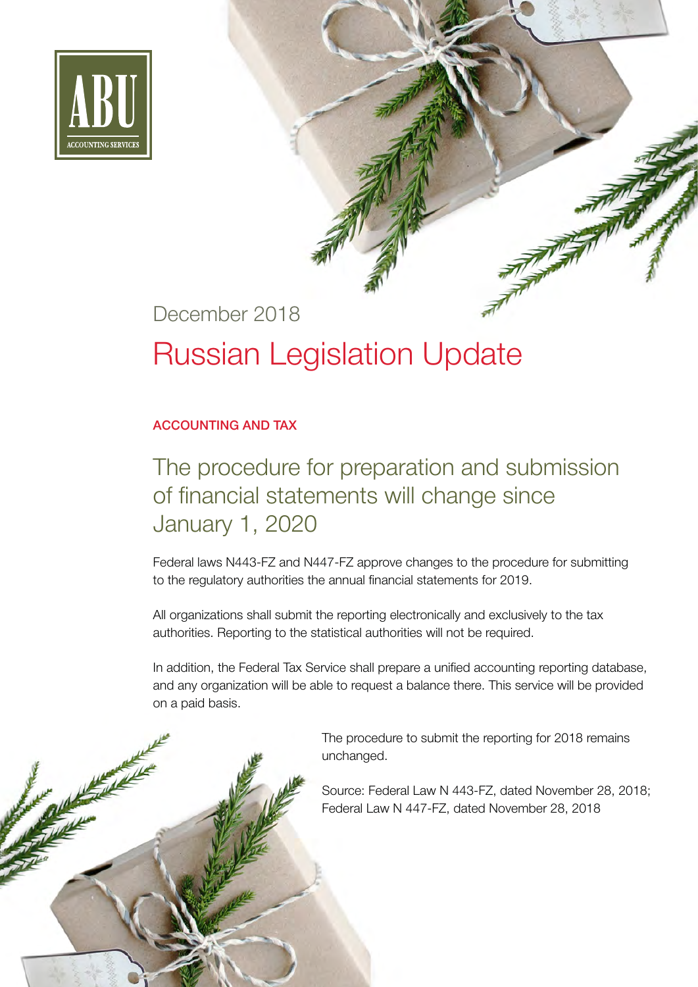

#### December 2018

# Russian Legislation Update

#### ACCOUNTING AND TAX

# The procedure for preparation and submission of financial statements will change since January 1, 2020

Federal laws N443-FZ and N447-FZ approve changes to the procedure for submitting to the regulatory authorities the annual financial statements for 2019.

All organizations shall submit the reporting electronically and exclusively to the tax authorities. Reporting to the statistical authorities will not be required.

In addition, the Federal Tax Service shall prepare a unified accounting reporting database, and any organization will be able to request a balance there. This service will be provided on a paid basis.

> The procedure to submit the reporting for 2018 remains unchanged.

 Source: Federal Law N 443-FZ, dated November 28, 2018; Federal Law N 447-FZ, dated November 28, 2018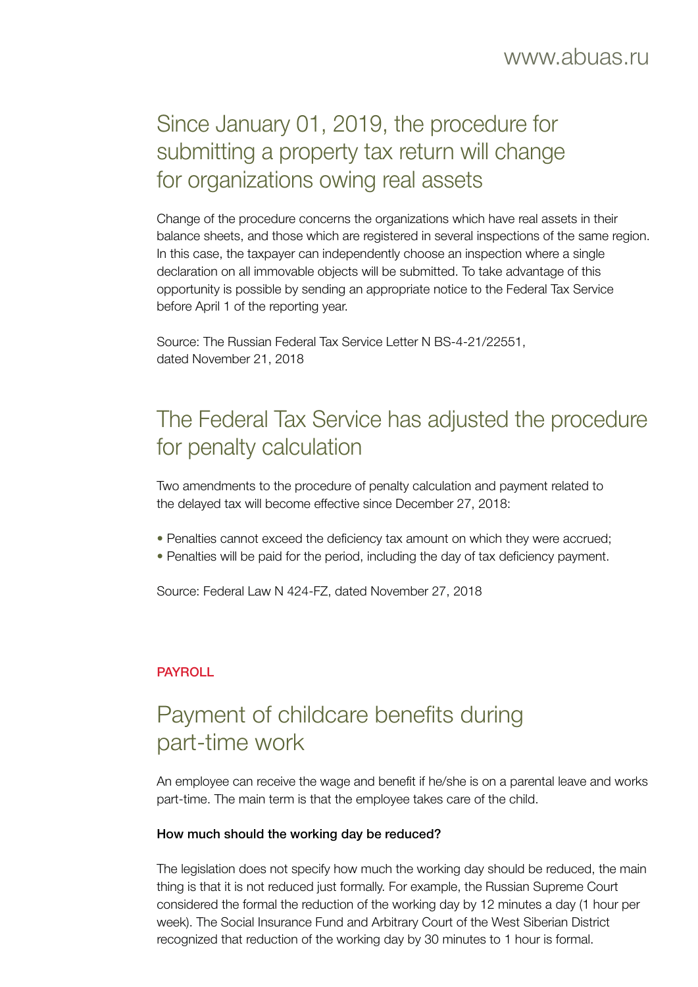# Since January 01, 2019, the procedure for submitting a property tax return will change for organizations owing real assets

Change of the procedure concerns the organizations which have real assets in their balance sheets, and those which are registered in several inspections of the same region. In this case, the taxpayer can independently choose an inspection where a single declaration on all immovable objects will be submitted. To take advantage of this opportunity is possible by sending an appropriate notice to the Federal Tax Service before April 1 of the reporting year.

Source: The Russian Federal Tax Service Letter N BS-4-21/22551, dated November 21, 2018

# The Federal Tax Service has adjusted the procedure for penalty calculation

Two amendments to the procedure of penalty calculation and payment related to the delayed tax will become effective since December 27, 2018:

- Penalties cannot exceed the deficiency tax amount on which they were accrued;
- Penalties will be paid for the period, including the day of tax deficiency payment.

Source: Federal Law N 424-FZ, dated November 27, 2018

#### PAYROLL

# Payment of childcare benefits during part-time work

An employee can receive the wage and benefit if he/she is on a parental leave and works part-time. The main term is that the employee takes care of the child.

#### How much should the working day be reduced?

The legislation does not specify how much the working day should be reduced, the main thing is that it is not reduced just formally. For example, the Russian Supreme Court considered the formal the reduction of the working day by 12 minutes a day (1 hour per week). The Social Insurance Fund and Arbitrary Court of the West Siberian District recognized that reduction of the working day by 30 minutes to 1 hour is formal.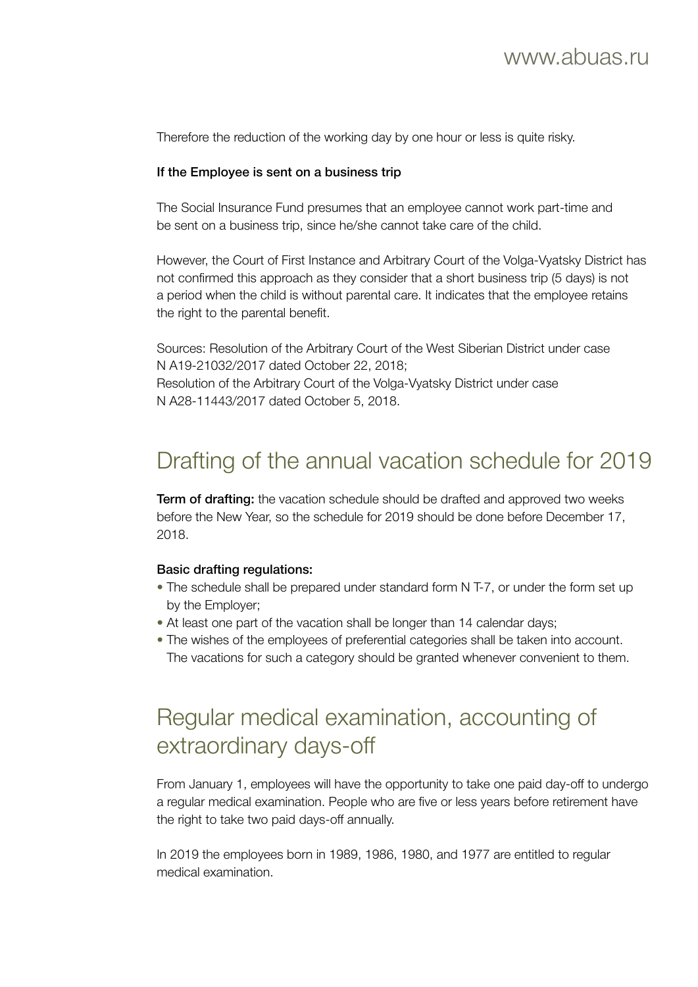Therefore the reduction of the working day by one hour or less is quite risky.

#### If the Employee is sent on a business trip

The Social Insurance Fund presumes that an employee cannot work part-time and be sent on a business trip, since he/she cannot take care of the child.

However, the Court of First Instance and Arbitrary Court of the Volga-Vyatsky District has not confirmed this approach as they consider that a short business trip (5 days) is not a period when the child is without parental care. It indicates that the employee retains the right to the parental benefit.

Sources: Resolution of the Arbitrary Court of the West Siberian District under case N А19-21032/2017 dated October 22, 2018; Resolution of the Arbitrary Court of the Volga-Vyatsky District under case N А28-11443/2017 dated October 5, 2018.

## Drafting of the annual vacation schedule for 2019

**Term of drafting:** the vacation schedule should be drafted and approved two weeks before the New Year, so the schedule for 2019 should be done before December 17, 2018.

#### Basic drafting regulations:

- The schedule shall be prepared under standard form N T-7, or under the form set up by the Employer;
- At least one part of the vacation shall be longer than 14 calendar days;
- The wishes of the employees of preferential categories shall be taken into account. The vacations for such a category should be granted whenever convenient to them.

## Regular medical examination, accounting of extraordinary days-off

From January 1, employees will have the opportunity to take one paid day-off to undergo a regular medical examination. People who are five or less years before retirement have the right to take two paid days-off annually.

In 2019 the employees born in 1989, 1986, 1980, and 1977 are entitled to regular medical examination.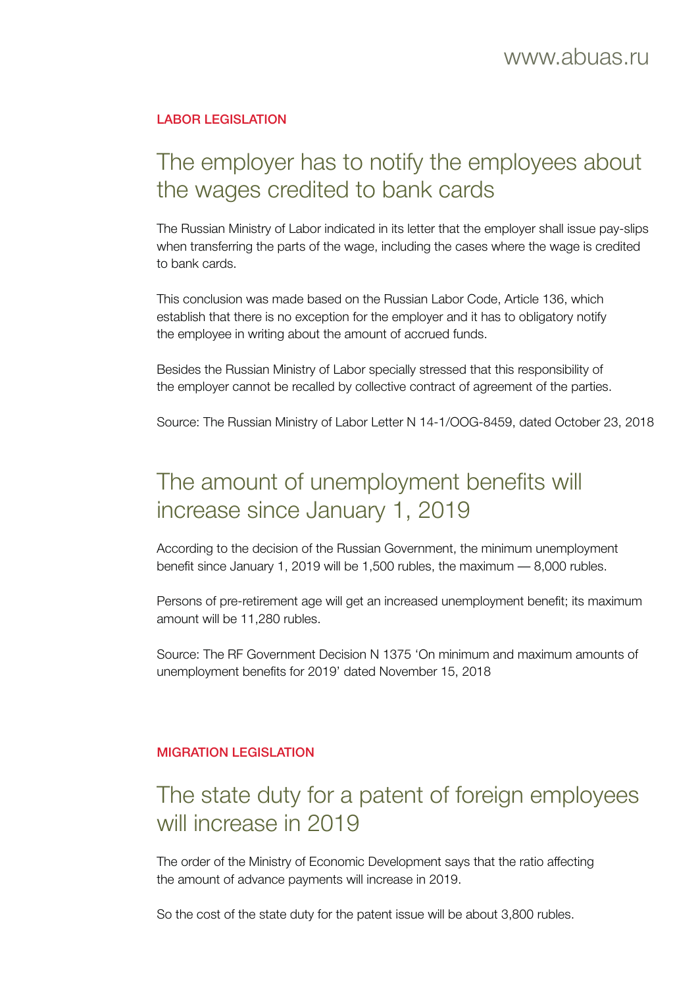#### LABOR LEGISLATION

## The employer has to notify the employees about the wages credited to bank cards

The Russian Ministry of Labor indicated in its letter that the employer shall issue pay-slips when transferring the parts of the wage, including the cases where the wage is credited to bank cards.

This conclusion was made based on the Russian Labor Code, Article 136, which establish that there is no exception for the employer and it has to obligatory notify the employee in writing about the amount of accrued funds.

Besides the Russian Ministry of Labor specially stressed that this responsibility of the employer cannot be recalled by collective contract of agreement of the parties.

Source: The Russian Ministry of Labor Letter N 14-1/OOG-8459, dated October 23, 2018

#### The amount of unemployment benefits will increase since January 1, 2019

According to the decision of the Russian Government, the minimum unemployment benefit since January 1, 2019 will be 1,500 rubles, the maximum — 8,000 rubles.

Persons of pre-retirement age will get an increased unemployment benefit; its maximum amount will be 11,280 rubles.

Source: The RF Government Decision N 1375 'On minimum and maximum amounts of unemployment benefits for 2019' dated November 15, 2018

#### MIGRATION LEGISLATION

#### The state duty for a patent of foreign employees will increase in 2019

The order of the Ministry of Economic Development says that the ratio affecting the amount of advance payments will increase in 2019.

So the cost of the state duty for the patent issue will be about 3,800 rubles.